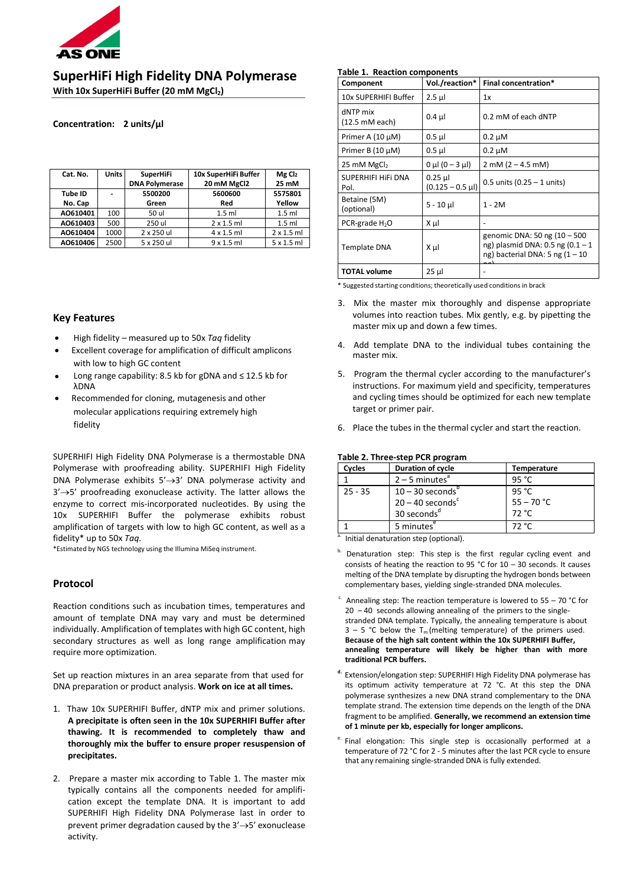

**SuperHiFi High Fidelity DNA Polymerase**

**With 10x SuperHiFi Buffer (20 mM MgCl2)**

# **Concentration: 2 units/µl**

| Cat. No. | <b>Units</b> | <b>SuperHiFi</b><br><b>DNA Polymerase</b> | 10x SuperHiFi Buffer<br>20 mM MgCl2 | MgCl <sub>2</sub><br>25 mM |  |
|----------|--------------|-------------------------------------------|-------------------------------------|----------------------------|--|
| Tube ID  |              | 5500200                                   | 5600600                             | 5575801                    |  |
| No. Cap  |              | Green                                     | Red                                 | Yellow                     |  |
| AO610401 | 100          | 50 ul                                     | $1.5$ ml                            | $1.5$ ml                   |  |
| AO610403 | 500          | 250 ul                                    | $2 \times 1.5$ ml                   | $1.5$ ml                   |  |
| A0610404 | 1000         | 2 x 250 ul                                | $4 \times 1.5$ ml                   | $2 \times 1.5$ ml          |  |
| AO610406 | 2500         | 5 x 250 ul                                | 9x1.5ml                             | $5 \times 1.5$ ml          |  |

# **Key Features**

- High fidelity measured up to 50x *Taq* fidelity
- Excellent coverage for amplification of difficult amplicons with low to high GC content
- Long range capability: 8.5 kb for gDNA and  $\leq$  12.5 kb for λDNA
- Recommended for cloning, mutagenesis and other molecular applications requiring extremely high fidelity

SUPERHIFI High Fidelity DNA Polymerase is a thermostable DNA Polymerase with proofreading ability. SUPERHIFI High Fidelity DNA Polymerase exhibits 5'→3' DNA polymerase activity and 3'→5' proofreading exonuclease activity. The latter allows the enzyme to correct mis-incorporated nucleotides. By using the 10x SUPERHIFI Buffer the polymerase exhibits robust amplification of targets with low to high GC content, as well as a fidelity\* up to 50x *Taq.*

\*Estimated by NGS technology using the Illumina MiSeq instrument.

# **Protocol**

Reaction conditions such as incubation times, temperatures and amount of template DNA may vary and must be determined individually. Amplification of templates with high GC content, high secondary structures as well as long range amplification may require more optimization.

Set up reaction mixtures in an area separate from that used for DNA preparation or product analysis. **Work on ice at all times.**

- 1. Thaw 10x SUPERHIFI Buffer, dNTP mix and primer solutions. **A precipitate is often seen in the 10x SUPERHIFI Buffer after thawing. It is recommended to completely thaw and thoroughly mix the buffer to ensure proper resuspension of precipitates.**
- 2. Prepare a master mix according to Table 1. The master mix typically contains all the components needed for amplification except the template DNA. It is important to add SUPERHIFI High Fidelity DNA Polymerase last in order to prevent primer degradation caused by the 3'→5' exonuclease activity.

# **Table 1. Reaction components**

| Component                  | Vol./reaction*                    | Final concentration*                                                                                        |
|----------------------------|-----------------------------------|-------------------------------------------------------------------------------------------------------------|
| 10x SUPERHIFI Buffer       | $2.5$ µl                          | 1x                                                                                                          |
| dNTP mix<br>(12.5 mM each) | $0.4$ µ                           | 0.2 mM of each dNTP                                                                                         |
| Primer A $(10 \mu M)$      | $0.5$ µl                          | $0.2 \mu M$                                                                                                 |
| Primer B $(10 \mu M)$      | $0.5$ $\mu$                       | $0.2 \mu M$                                                                                                 |
| 25 mM MgCl <sub>2</sub>    | $0 \mu I (0 - 3 \mu I)$           | $2 \text{ mM} (2 - 4.5 \text{ mM})$                                                                         |
| SUPERHIFI HIFI DNA<br>Pol. | $0.25$ µ<br>$(0.125 - 0.5 \mu l)$ | $0.5$ units (0.25 – 1 units)                                                                                |
| Betaine (5M)<br>(optional) | $5 - 10$ µ                        | $1 - 2M$                                                                                                    |
| PCR-grade H <sub>2</sub> O | Χμl                               |                                                                                                             |
| <b>Template DNA</b>        | Χμl                               | genomic DNA: 50 ng (10 - 500<br>ng) plasmid DNA: $0.5$ ng $(0.1 - 1)$<br>ng) bacterial DNA: 5 ng $(1 - 10)$ |
| <b>TOTAL volume</b>        | $25 \mu$                          |                                                                                                             |

\* Suggested starting conditions; theoretically used conditions in brack

- 3. Mix the master mix thoroughly and dispense appropriate volumes into reaction tubes. Mix gently, e.g. by pipetting the master mix up and down a few times.
- 4. Add template DNA to the individual tubes containing the master mix.
- 5. Program the thermal cycler according to the manufacturer's instructions. For maximum yield and specificity, temperatures and cycling times should be optimized for each new template target or primer pair.
- 6. Place the tubes in the thermal cycler and start the reaction.

### **Table 2. Three-step PCR program**

| Duration of cycle              | <b>Temperature</b> |
|--------------------------------|--------------------|
| $2 - 5$ minutes <sup>a</sup>   | 95 °C              |
| $10 - 30$ seconds <sup>b</sup> | 95 °C              |
| $20 - 40$ seconds <sup>c</sup> | $55 - 70 °C$       |
| 30 seconds <sup>d</sup>        | 72 °C              |
| 5 minutes <sup>e</sup>         | 72 °C              |
|                                |                    |

Initial denaturation step (optional).

- Denaturation step: This step is the first regular cycling event and consists of heating the reaction to 95 °C for  $10 - 30$  seconds. It causes melting of the DNA template by disrupting the hydrogen bonds between complementary bases, yielding single-stranded DNA molecules.
- $c$ . Annealing step: The reaction temperature is lowered to 55 70 °C for  $20 - 40$  seconds allowing annealing of the primers to the singlestranded DNA template. Typically, the annealing temperature is about  $3 - 5$  °C below the T<sub>m</sub> (melting temperature) of the primers used. **Because of the high salt content within the 10x SUPERHIFI Buffer, annealing temperature will likely be higher than with more traditional PCR buffers.**
- **d.** Extension/elongation step: SUPERHIFI High Fidelity DNA polymerase has its optimum activity temperature at 72 °C. At this step the DNA polymerase synthesizes a new DNA strand complementary to the DNA template strand. The extension time depends on the length of the DNA fragment to be amplified. **Generally, we recommend an extension time of 1 minute per kb, especially for longer amplicons.**
- e. Final elongation: This single step is occasionally performed at a temperature of 72 °C for 2 - 5 minutes after the last PCR cycle to ensure that any remaining single‐stranded DNA is fully extended.